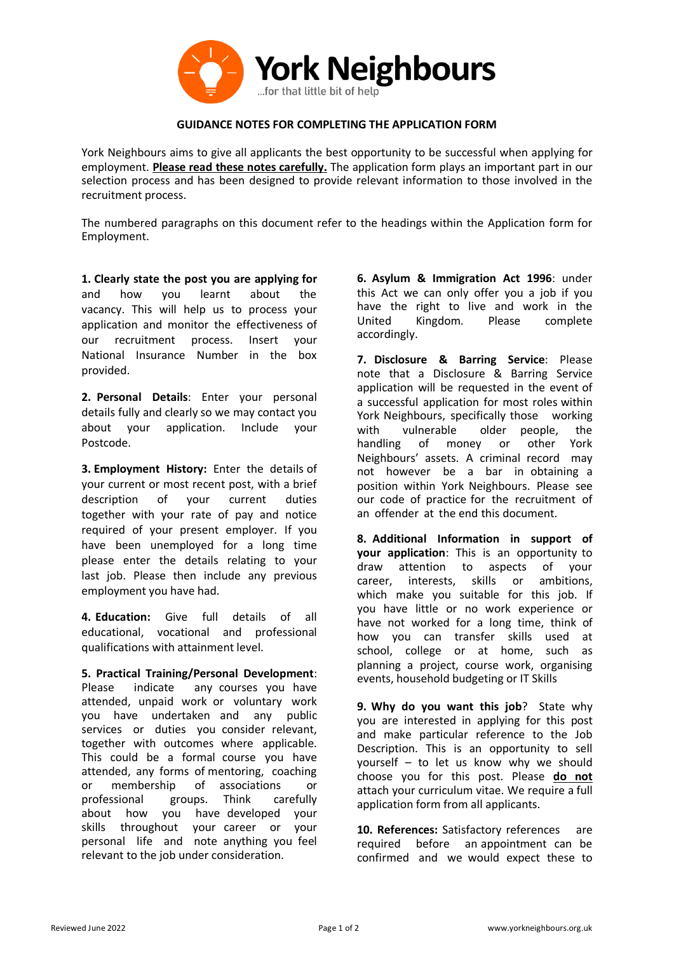

## **GUIDANCE NOTES FOR COMPLETING THE APPLICATION FORM**

York Neighbours aims to give all applicants the best opportunity to be successful when applying for employment. **Please read these notes carefully.** The application form plays an important part in our selection process and has been designed to provide relevant information to those involved in the recruitment process.

The numbered paragraphs on this document refer to the headings within the Application form for Employment.

**1. Clearly state the post you are applying for** and how you learnt about the vacancy. This will help us to process your application and monitor the effectiveness of our recruitment process. Insert your National Insurance Number in the box provided.

**2. Personal Details**: Enter your personal details fully and clearly so we may contact you about your application. Include your Postcode.

**3. Employment History:** Enter the details of your current or most recent post, with a brief description of your current duties together with your rate of pay and notice required of your present employer. If you have been unemployed for a long time please enter the details relating to your last job. Please then include any previous employment you have had.

**4. Education:** Give full details of all educational, vocational and professional qualifications with attainment level.

**5. Practical Training/Personal Development**: Please indicate any courses you have attended, unpaid work or voluntary work you have undertaken and any public services or duties you consider relevant, together with outcomes where applicable. This could be a formal course you have attended, any forms of mentoring, coaching or membership of associations or professional groups. Think carefully about how you have developed your skills throughout your career or your personal life and note anything you feel relevant to the job under consideration.

**6. Asylum & Immigration Act 1996**: under this Act we can only offer you a job if you have the right to live and work in the United Kingdom. Please complete accordingly.

**7. Disclosure & Barring Service**: Please note that a Disclosure & Barring Service application will be requested in the event of a successful application for most roles within York Neighbours, specifically those working with vulnerable older people, the handling of money or other York Neighbours' assets. A criminal record may not however be a bar in obtaining a position within York Neighbours. Please see our code of practice for the recruitment of an offender at the end this document.

**8. Additional Information in support of your application**: This is an opportunity to draw attention to aspects of your career, interests, skills or ambitions, which make you suitable for this job. If you have little or no work experience or have not worked for a long time, think of how you can transfer skills used at school, college or at home, such as planning a project, course work, organising events, household budgeting or IT Skills

**9. Why do you want this job**? State why you are interested in applying for this post and make particular reference to the Job Description. This is an opportunity to sell yourself – to let us know why we should choose you for this post. Please **do not** attach your curriculum vitae. We require a full application form from all applicants.

**10. References:** Satisfactory references are required before an appointment can be confirmed and we would expect these to